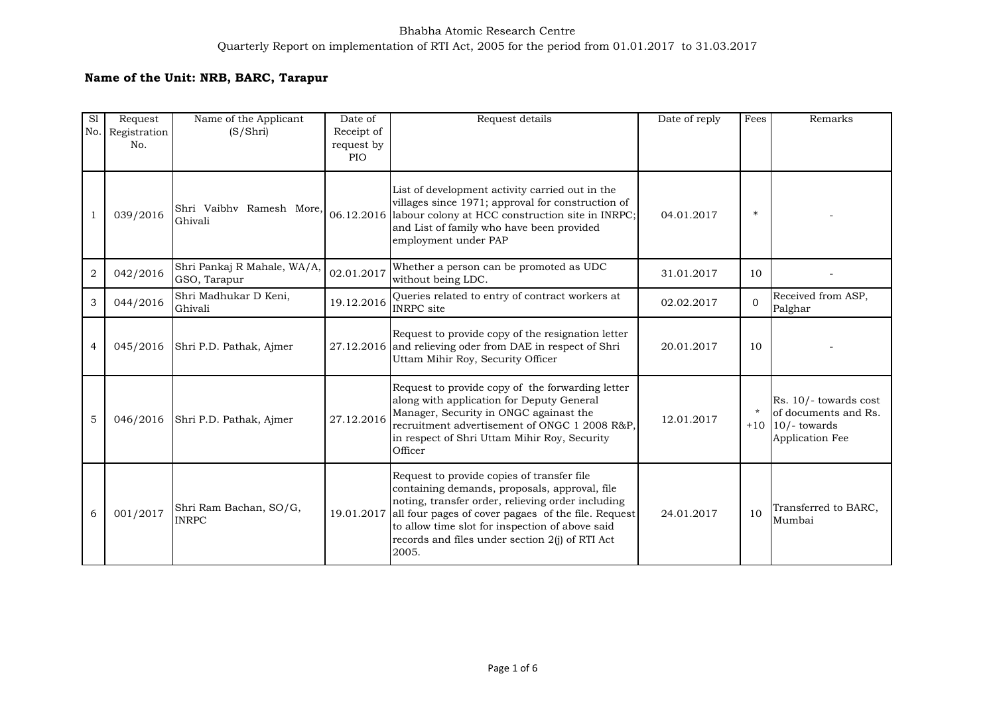## Bhabha Atomic Research Centre Quarterly Report on implementation of RTI Act, 2005 for the period from 01.01.2017 to 31.03.2017

## **Name of the Unit: NRB, BARC, Tarapur**

| S1<br>No.      | Request<br>Registration<br>No. | Name of the Applicant<br>(S/Shri)           | Date of<br>Receipt of<br>request by<br><b>PIO</b> | Request details                                                                                                                                                                                                                                                                                                        | Date of reply | Fees     | Remarks                                                                               |
|----------------|--------------------------------|---------------------------------------------|---------------------------------------------------|------------------------------------------------------------------------------------------------------------------------------------------------------------------------------------------------------------------------------------------------------------------------------------------------------------------------|---------------|----------|---------------------------------------------------------------------------------------|
| 1              | 039/2016                       | Shri Vaibhy Ramesh More,<br>Ghivali         | 06.12.2016                                        | List of development activity carried out in the<br>villages since 1971; approval for construction of<br>labour colony at HCC construction site in INRPC;<br>and List of family who have been provided<br>employment under PAP                                                                                          | 04.01.2017    | $\ast$   |                                                                                       |
| $\overline{2}$ | 042/2016                       | Shri Pankaj R Mahale, WA/A,<br>GSO, Tarapur | 02.01.2017                                        | Whether a person can be promoted as UDC<br>without being LDC.                                                                                                                                                                                                                                                          | 31.01.2017    | 10       |                                                                                       |
| 3              | 044/2016                       | Shri Madhukar D Keni,<br>Ghivali            | 19.12.2016                                        | Queries related to entry of contract workers at<br><b>INRPC</b> site                                                                                                                                                                                                                                                   | 02.02.2017    | $\Omega$ | Received from ASP,<br>Palghar                                                         |
| $\overline{4}$ | 045/2016                       | Shri P.D. Pathak, Ajmer                     |                                                   | Request to provide copy of the resignation letter<br>27.12.2016 and relieving oder from DAE in respect of Shri<br>Uttam Mihir Roy, Security Officer                                                                                                                                                                    | 20.01.2017    | 10       |                                                                                       |
| 5              | 046/2016                       | Shri P.D. Pathak, Ajmer                     | 27.12.2016                                        | Request to provide copy of the forwarding letter<br>along with application for Deputy General<br>Manager, Security in ONGC againast the<br>recruitment advertisement of ONGC 1 2008 R&P,<br>in respect of Shri Uttam Mihir Roy, Security<br>Officer                                                                    | 12.01.2017    | $\star$  | Rs. 10/- towards cost<br>of documents and Rs.<br>$+10$ 10/-towards<br>Application Fee |
| 6              | 001/2017                       | Shri Ram Bachan, SO/G,<br><b>INRPC</b>      | 19.01.2017                                        | Request to provide copies of transfer file<br>containing demands, proposals, approval, file<br>noting, transfer order, relieving order including<br>all four pages of cover pagaes of the file. Request<br>to allow time slot for inspection of above said<br>records and files under section 2(j) of RTI Act<br>2005. | 24.01.2017    | 10       | Transferred to BARC,<br>Mumbai                                                        |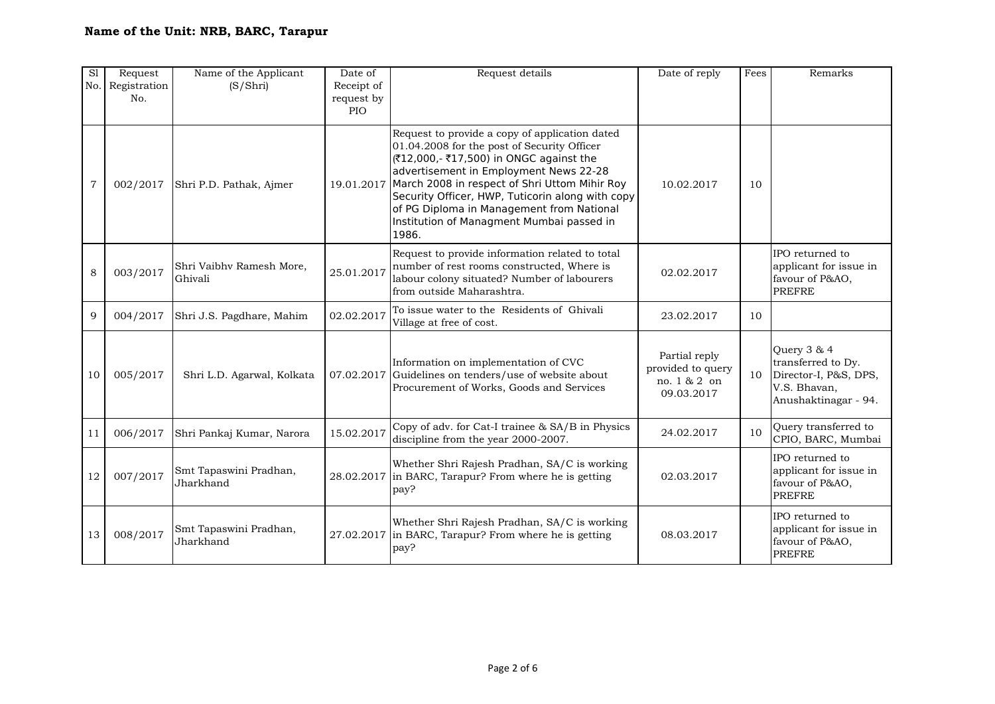| $\overline{sl}$<br>No. | Request<br>Registration<br>No. | Name of the Applicant<br>(S/Shri)   | Date of<br>Receipt of<br>request by<br>PIO | Request details                                                                                                                                                                                                                                                                                                                                                                            | Date of reply                                                    | Fees | Remarks                                                                                            |
|------------------------|--------------------------------|-------------------------------------|--------------------------------------------|--------------------------------------------------------------------------------------------------------------------------------------------------------------------------------------------------------------------------------------------------------------------------------------------------------------------------------------------------------------------------------------------|------------------------------------------------------------------|------|----------------------------------------------------------------------------------------------------|
| $\overline{7}$         | 002/2017                       | Shri P.D. Pathak, Ajmer             | 19.01.2017                                 | Request to provide a copy of application dated<br>01.04.2008 for the post of Security Officer<br>(₹12,000,- ₹17,500) in ONGC against the<br>advertisement in Employment News 22-28<br>March 2008 in respect of Shri Uttom Mihir Roy<br>Security Officer, HWP, Tuticorin along with copy<br>of PG Diploma in Management from National<br>Institution of Managment Mumbai passed in<br>1986. | 10.02.2017                                                       | 10   |                                                                                                    |
| $\,8\,$                | 003/2017                       | Shri Vaibhv Ramesh More,<br>Ghivali | 25.01.2017                                 | Request to provide information related to total<br>number of rest rooms constructed, Where is<br>labour colony situated? Number of labourers<br>from outside Maharashtra.                                                                                                                                                                                                                  | 02.02.2017                                                       |      | IPO returned to<br>applicant for issue in<br>favour of P&AO,<br><b>PREFRE</b>                      |
| 9                      | 004/2017                       | Shri J.S. Pagdhare, Mahim           | 02.02.2017                                 | To issue water to the Residents of Ghivali<br>Village at free of cost.                                                                                                                                                                                                                                                                                                                     | 23.02.2017                                                       | 10   |                                                                                                    |
| 10                     | 005/2017                       | Shri L.D. Agarwal, Kolkata          |                                            | Information on implementation of CVC<br>07.02.2017 Guidelines on tenders/use of website about<br>Procurement of Works, Goods and Services                                                                                                                                                                                                                                                  | Partial reply<br>provided to query<br>no. 1 & 2 on<br>09.03.2017 | 10   | Query 3 & 4<br>transferred to Dy.<br>Director-I, P&S, DPS,<br>V.S. Bhavan,<br>Anushaktinagar - 94. |
| 11                     | 006/2017                       | Shri Pankaj Kumar, Narora           | 15.02.2017                                 | Copy of adv. for Cat-I trainee & SA/B in Physics<br>discipline from the year 2000-2007.                                                                                                                                                                                                                                                                                                    | 24.02.2017                                                       | 10   | Query transferred to<br>CPIO, BARC, Mumbai                                                         |
| 12                     | 007/2017                       | Smt Tapaswini Pradhan,<br>Jharkhand |                                            | Whether Shri Rajesh Pradhan, SA/C is working<br>28.02.2017 in BARC, Tarapur? From where he is getting<br>pay?                                                                                                                                                                                                                                                                              | 02.03.2017                                                       |      | IPO returned to<br>applicant for issue in<br>favour of P&AO,<br><b>PREFRE</b>                      |
| 13                     | 008/2017                       | Smt Tapaswini Pradhan,<br>Jharkhand |                                            | Whether Shri Rajesh Pradhan, SA/C is working<br>27.02.2017 in BARC, Tarapur? From where he is getting<br>pay?                                                                                                                                                                                                                                                                              | 08.03.2017                                                       |      | IPO returned to<br>applicant for issue in<br>favour of P&AO,<br><b>PREFRE</b>                      |